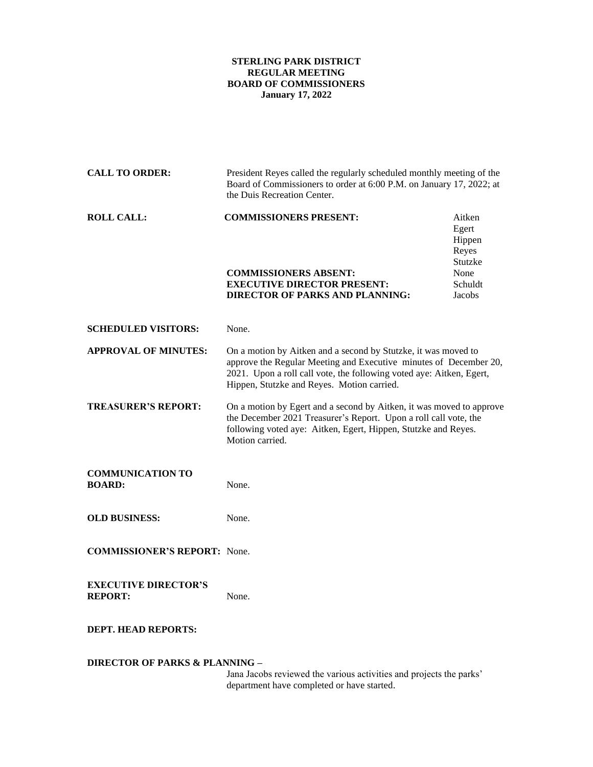## **STERLING PARK DISTRICT REGULAR MEETING BOARD OF COMMISSIONERS January 17, 2022**

| <b>CALL TO ORDER:</b>                         | President Reyes called the regularly scheduled monthly meeting of the<br>Board of Commissioners to order at 6:00 P.M. on January 17, 2022; at<br>the Duis Recreation Center.                                                                              |                                               |
|-----------------------------------------------|-----------------------------------------------------------------------------------------------------------------------------------------------------------------------------------------------------------------------------------------------------------|-----------------------------------------------|
| <b>ROLL CALL:</b>                             | <b>COMMISSIONERS PRESENT:</b>                                                                                                                                                                                                                             | Aitken<br>Egert<br>Hippen<br>Reyes<br>Stutzke |
|                                               | <b>COMMISSIONERS ABSENT:</b>                                                                                                                                                                                                                              | None                                          |
|                                               | <b>EXECUTIVE DIRECTOR PRESENT:</b><br><b>DIRECTOR OF PARKS AND PLANNING:</b>                                                                                                                                                                              | Schuldt<br>Jacobs                             |
|                                               |                                                                                                                                                                                                                                                           |                                               |
| <b>SCHEDULED VISITORS:</b>                    | None.                                                                                                                                                                                                                                                     |                                               |
| <b>APPROVAL OF MINUTES:</b>                   | On a motion by Aitken and a second by Stutzke, it was moved to<br>approve the Regular Meeting and Executive minutes of December 20,<br>2021. Upon a roll call vote, the following voted aye: Aitken, Egert,<br>Hippen, Stutzke and Reyes. Motion carried. |                                               |
| <b>TREASURER'S REPORT:</b>                    | On a motion by Egert and a second by Aitken, it was moved to approve<br>the December 2021 Treasurer's Report. Upon a roll call vote, the<br>following voted aye: Aitken, Egert, Hippen, Stutzke and Reyes.<br>Motion carried.                             |                                               |
| <b>COMMUNICATION TO</b><br><b>BOARD:</b>      | None.                                                                                                                                                                                                                                                     |                                               |
| <b>OLD BUSINESS:</b>                          | None.                                                                                                                                                                                                                                                     |                                               |
| <b>COMMISSIONER'S REPORT:</b> None.           |                                                                                                                                                                                                                                                           |                                               |
| <b>EXECUTIVE DIRECTOR'S</b><br><b>REPORT:</b> | None.                                                                                                                                                                                                                                                     |                                               |
| <b>DEPT. HEAD REPORTS:</b>                    |                                                                                                                                                                                                                                                           |                                               |
| <b>DIRECTOR OF PARKS &amp; PLANNING -</b>     |                                                                                                                                                                                                                                                           |                                               |

Jana Jacobs reviewed the various activities and projects the parks' department have completed or have started.